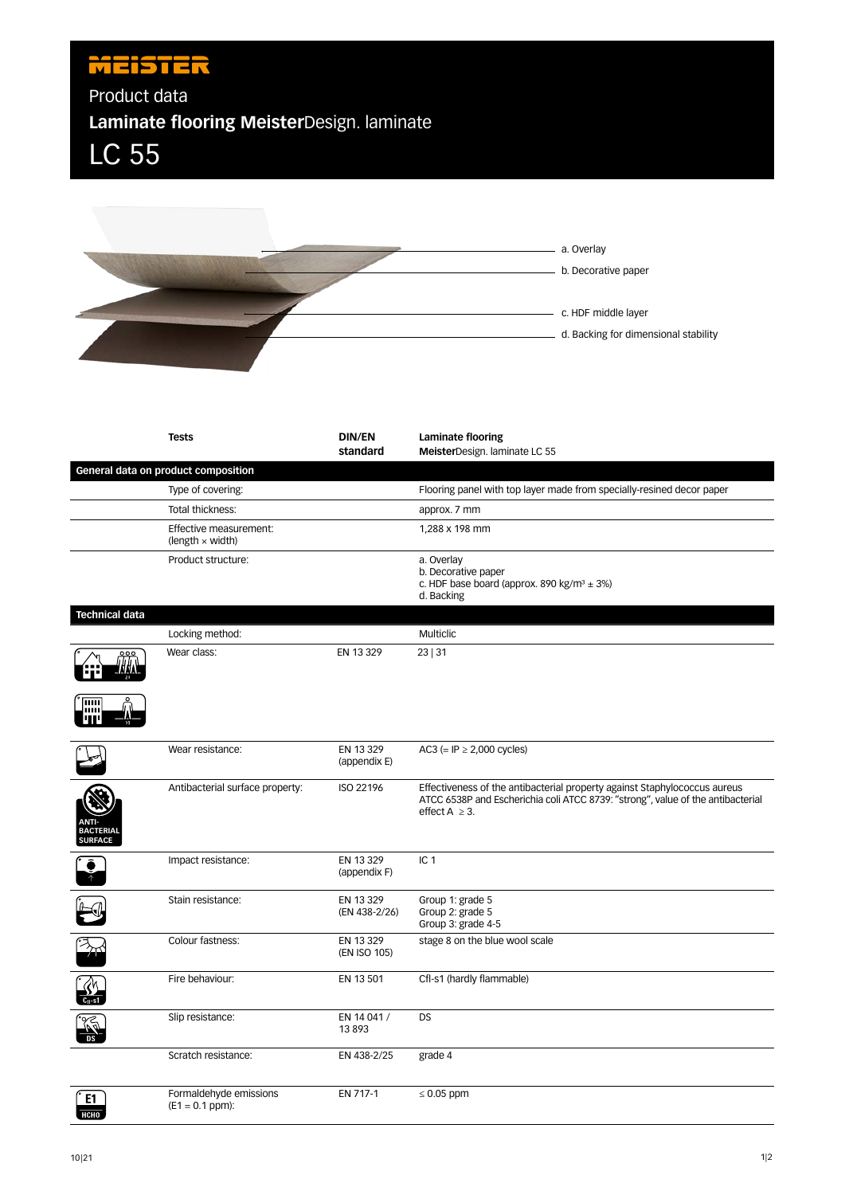## **MEISTER**

Product data

**Laminate flooring Meister**Design. laminate

LC 55



|                             | <b>Tests</b>                                      | <b>DIN/EN</b><br>standard  | Laminate flooring<br>MeisterDesign. laminate LC 55                                                                                                                                  |
|-----------------------------|---------------------------------------------------|----------------------------|-------------------------------------------------------------------------------------------------------------------------------------------------------------------------------------|
|                             | General data on product composition               |                            |                                                                                                                                                                                     |
|                             | Type of covering:                                 |                            | Flooring panel with top layer made from specially-resined decor paper                                                                                                               |
|                             | Total thickness:                                  |                            | approx. 7 mm                                                                                                                                                                        |
|                             | Effective measurement:<br>$(length \times width)$ |                            | 1,288 x 198 mm                                                                                                                                                                      |
|                             | Product structure:                                |                            | a. Overlay<br>b. Decorative paper<br>c. HDF base board (approx. 890 kg/m <sup>3</sup> $\pm$ 3%)<br>d. Backing                                                                       |
| <b>Technical data</b>       |                                                   |                            |                                                                                                                                                                                     |
|                             | Locking method:                                   |                            | Multiclic                                                                                                                                                                           |
|                             | Wear class:                                       | EN 13 329                  | 23   31                                                                                                                                                                             |
| ш                           |                                                   |                            |                                                                                                                                                                                     |
|                             | Wear resistance:                                  | EN 13 329<br>(appendix E)  | AC3 (= IP $\geq$ 2,000 cycles)                                                                                                                                                      |
| <b>BACTERIAL</b><br>SURFACE | Antibacterial surface property:                   | ISO 22196                  | Effectiveness of the antibacterial property against Staphylococcus aureus<br>ATCC 6538P and Escherichia coli ATCC 8739: "strong", value of the antibacterial<br>effect $A \geq 3$ . |
|                             | Impact resistance:                                | EN 13 329<br>(appendix F)  | IC <sub>1</sub>                                                                                                                                                                     |
|                             | Stain resistance:                                 | EN 13 329<br>(EN 438-2/26) | Group 1: grade 5<br>Group 2: grade 5<br>Group 3: grade 4-5                                                                                                                          |
|                             | Colour fastness:                                  | EN 13 329<br>(EN ISO 105)  | stage 8 on the blue wool scale                                                                                                                                                      |
|                             | Fire behaviour:                                   | EN 13 501                  | Cfl-s1 (hardly flammable)                                                                                                                                                           |
|                             | Slip resistance:                                  | EN 14 041 /<br>13893       | <b>DS</b>                                                                                                                                                                           |
|                             | Scratch resistance:                               | EN 438-2/25                | grade 4                                                                                                                                                                             |
| E1<br><b>HCHO</b>           | Formaldehyde emissions<br>$(E1 = 0.1$ ppm):       | EN 717-1                   | $\leq 0.05$ ppm                                                                                                                                                                     |